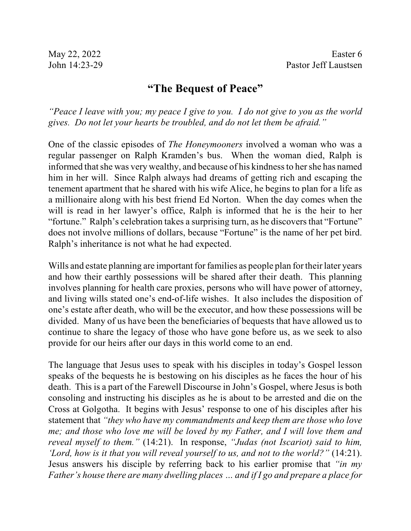## **"The Bequest of Peace"**

*"Peace I leave with you; my peace I give to you. I do not give to you as the world gives. Do not let your hearts be troubled, and do not let them be afraid."*

One of the classic episodes of *The Honeymooners* involved a woman who was a regular passenger on Ralph Kramden's bus. When the woman died, Ralph is informed that she was very wealthy, and because of his kindness to her she has named him in her will. Since Ralph always had dreams of getting rich and escaping the tenement apartment that he shared with his wife Alice, he begins to plan for a life as a millionaire along with his best friend Ed Norton. When the day comes when the will is read in her lawyer's office, Ralph is informed that he is the heir to her "fortune." Ralph's celebration takes a surprising turn, as he discovers that "Fortune" does not involve millions of dollars, because "Fortune" is the name of her pet bird. Ralph's inheritance is not what he had expected.

Wills and estate planning are important for families as people plan for their later years and how their earthly possessions will be shared after their death. This planning involves planning for health care proxies, persons who will have power of attorney, and living wills stated one's end-of-life wishes. It also includes the disposition of one's estate after death, who will be the executor, and how these possessions will be divided. Many of us have been the beneficiaries of bequests that have allowed us to continue to share the legacy of those who have gone before us, as we seek to also provide for our heirs after our days in this world come to an end.

The language that Jesus uses to speak with his disciples in today's Gospel lesson speaks of the bequests he is bestowing on his disciples as he faces the hour of his death. This is a part of the Farewell Discourse in John's Gospel, where Jesus is both consoling and instructing his disciples as he is about to be arrested and die on the Cross at Golgotha. It begins with Jesus' response to one of his disciples after his statement that *"they who have my commandments and keep them are those who love me; and those who love me will be loved by my Father, and I will love them and reveal myself to them."* (14:21). In response, *"Judas (not Iscariot) said to him, 'Lord, how is it that you will reveal yourself to us, and not to the world?"* (14:21). Jesus answers his disciple by referring back to his earlier promise that *"in my Father's house there are many dwelling places … and if I go and prepare a place for*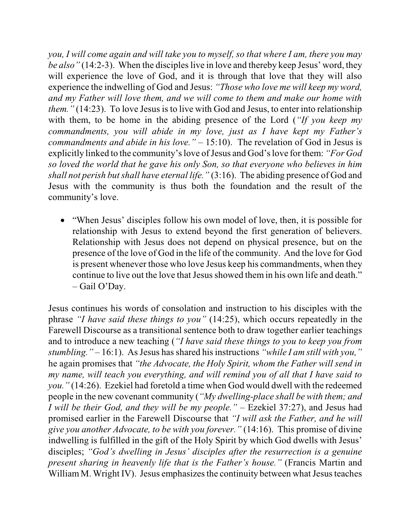*you, I will come again and will take you to myself, so that where I am, there you may be also* "(14:2-3). When the disciples live in love and thereby keep Jesus' word, they will experience the love of God, and it is through that love that they will also experience the indwelling of God and Jesus: *"Those who love me will keep my word, and my Father will love them, and we will come to them and make our home with them."* (14:23). To love Jesus is to live with God and Jesus, to enter into relationship with them, to be home in the abiding presence of the Lord (*"If you keep my commandments, you will abide in my love, just as I have kept my Father's commandments and abide in his love."* – 15:10). The revelation of God in Jesus is explicitly linked to the community'slove of Jesus and God'slove for them: *"For God so loved the world that he gave his only Son, so that everyone who believes in him shall not perish but shall have eternal life.* "(3:16). The abiding presence of God and Jesus with the community is thus both the foundation and the result of the community's love.

• "When Jesus' disciples follow his own model of love, then, it is possible for relationship with Jesus to extend beyond the first generation of believers. Relationship with Jesus does not depend on physical presence, but on the presence of the love of God in the life of the community. And the love for God is present whenever those who love Jesus keep his commandments, when they continue to live out the love that Jesus showed them in his own life and death." – Gail O'Day.

Jesus continues his words of consolation and instruction to his disciples with the phrase *"I have said these things to you"* (14:25), which occurs repeatedly in the Farewell Discourse as a transitional sentence both to draw together earlier teachings and to introduce a new teaching (*"I have said these things to you to keep you from stumbling."* – 16:1). AsJesus has shared hisinstructions *"while I am still with you,"* he again promises that *"the Advocate, the Holy Spirit, whom the Father will send in my name, will teach you everything, and will remind you of all that I have said to you."* (14:26). Ezekiel had foretold a time when God would dwell with the redeemed people in the new covenant community (*"My dwelling-place shall be with them; and I will be their God, and they will be my people."* – Ezekiel 37:27), and Jesus had promised earlier in the Farewell Discourse that *"I will ask the Father, and he will give you another Advocate, to be with you forever."* (14:16). This promise of divine indwelling is fulfilled in the gift of the Holy Spirit by which God dwells with Jesus' disciples; *"God's dwelling in Jesus' disciples after the resurrection is a genuine present sharing in heavenly life that is the Father's house."* (Francis Martin and William M. Wright IV). Jesus emphasizes the continuity between what Jesus teaches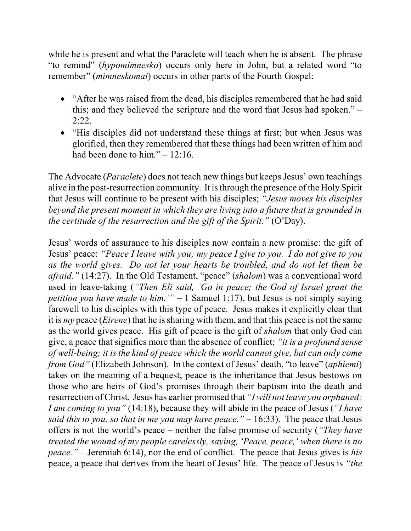while he is present and what the Paraclete will teach when he is absent. The phrase "to remind" (*hypomimnesko*) occurs only here in John, but a related word "to remember" (*mimneskomai*) occurs in other parts of the Fourth Gospel:

- "After he was raised from the dead, his disciples remembered that he had said this; and they believed the scripture and the word that Jesus had spoken." – 2:22.
- · "His disciples did not understand these things at first; but when Jesus was glorified, then they remembered that these things had been written of him and had been done to him." $-12:16$ .

The Advocate (*Paraclete*) does not teach new things but keeps Jesus' own teachings alive in the post-resurrection community. It isthrough the presence of the Holy Spirit that Jesus will continue to be present with his disciples; *"Jesus moves his disciples beyond the present moment in which they are living into a future that is grounded in the certitude of the resurrection and the gift of the Spirit."* (O'Day).

Jesus' words of assurance to his disciples now contain a new promise: the gift of Jesus' peace: *"Peace I leave with you; my peace I give to you. I do not give to you as the world gives. Do not let your hearts be troubled, and do not let them be afraid."* (14:27). In the Old Testament, "peace" (*shalom*) was a conventional word used in leave-taking (*"Then Eli said, 'Go in peace; the God of Israel grant the petition you have made to him.'"* – 1 Samuel 1:17), but Jesus is not simply saying farewell to his disciples with this type of peace. Jesus makes it explicitly clear that it is *my* peace (*Eirene*) that he is sharing with them, and that this peace is not the same as the world gives peace. His gift of peace is the gift of *shalom* that only God can give, a peace that signifies more than the absence of conflict; *"it is a profound sense of well-being; it is the kind of peace which the world cannot give, but can only come from God"* (Elizabeth Johnson). In the context of Jesus' death, "to leave" (*aphiemi*) takes on the meaning of a bequest; peace is the inheritance that Jesus bestows on those who are heirs of God's promises through their baptism into the death and resurrection of Christ. Jesus has earlier promised that *"I will not leave you orphaned; I am coming to you"* (14:18), because they will abide in the peace of Jesus (*"I have said this to you, so that in me you may have peace."* – 16:33). The peace that Jesus offers is not the world's peace – neither the false promise of security (*"They have treated the wound of my people carelessly, saying, 'Peace, peace,' when there is no peace."* – Jeremiah 6:14), nor the end of conflict. The peace that Jesus gives is *his* peace, a peace that derives from the heart of Jesus' life. The peace of Jesus is *"the*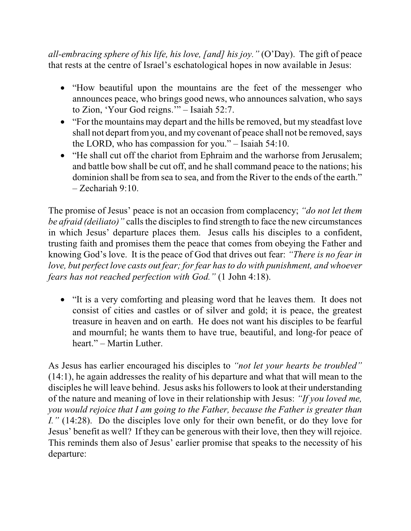*all-embracing sphere of his life, his love, [and] his joy."* (O'Day). The gift of peace that rests at the centre of Israel's eschatological hopes in now available in Jesus:

- "How beautiful upon the mountains are the feet of the messenger who announces peace, who brings good news, who announces salvation, who says to Zion, 'Your God reigns.'" – Isaiah 52:7.
- "For the mountains may depart and the hills be removed, but my steadfast love shall not depart fromyou, and my covenant of peace shall not be removed, says the LORD, who has compassion for you." – Isaiah 54:10.
- "He shall cut off the chariot from Ephraim and the warhorse from Jerusalem; and battle bow shall be cut off, and he shall command peace to the nations; his dominion shall be from sea to sea, and from the River to the ends of the earth." – Zechariah 9:10.

The promise of Jesus' peace is not an occasion from complacency; *"do not let them be afraid (deiliato)* " calls the disciples to find strength to face the new circumstances in which Jesus' departure places them. Jesus calls his disciples to a confident, trusting faith and promises them the peace that comes from obeying the Father and knowing God's love. It is the peace of God that drives out fear: *"There is no fear in love, but perfect love casts out fear; for fear has to do with punishment, and whoever fears has not reached perfection with God."* (1 John 4:18).

· "It is a very comforting and pleasing word that he leaves them. It does not consist of cities and castles or of silver and gold; it is peace, the greatest treasure in heaven and on earth. He does not want his disciples to be fearful and mournful; he wants them to have true, beautiful, and long-for peace of heart." – Martin Luther.

As Jesus has earlier encouraged his disciples to *"not let your hearts be troubled"* (14:1), he again addresses the reality of his departure and what that will mean to the disciples he will leave behind. Jesus asks his followers to look at their understanding of the nature and meaning of love in their relationship with Jesus: *"If you loved me, you would rejoice that I am going to the Father, because the Father is greater than I."* (14:28). Do the disciples love only for their own benefit, or do they love for Jesus' benefit as well? If they can be generous with their love, then they will rejoice. This reminds them also of Jesus' earlier promise that speaks to the necessity of his departure: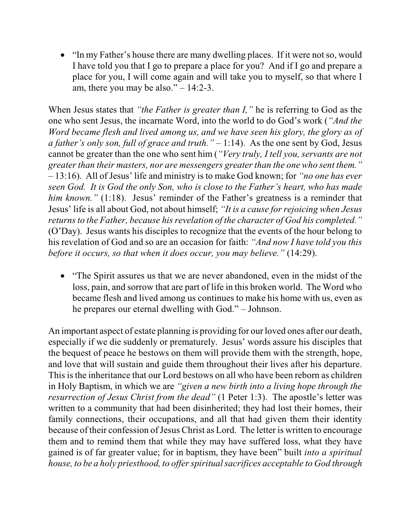• "In my Father's house there are many dwelling places. If it were not so, would I have told you that I go to prepare a place for you? And if I go and prepare a place for you, I will come again and will take you to myself, so that where I am, there you may be also."  $- 14:2-3$ .

When Jesus states that *"the Father is greater than I,"* he is referring to God as the one who sent Jesus, the incarnate Word, into the world to do God's work (*"And the Word became flesh and lived among us, and we have seen his glory, the glory as of a father's only son, full of grace and truth."* – 1:14). As the one sent by God, Jesus cannot be greater than the one who sent him (*"Very truly, I tell you, servants are not greater than their masters, nor are messengers greater than the one who sent them."* – 13:16). All of Jesus' life and ministry is to make God known; for *"no one has ever seen God. It is God the only Son, who is close to the Father's heart, who has made him known.*" (1:18). Jesus' reminder of the Father's greatness is a reminder that Jesus' life is all about God, not about himself; *"It is a cause for rejoicing when Jesus returnsto the Father, because his revelation of the character of God his completed."* (O'Day). Jesus wants his disciples to recognize that the events of the hour belong to his revelation of God and so are an occasion for faith: *"And now I have told you this before it occurs, so that when it does occur, you may believe."* (14:29).

• "The Spirit assures us that we are never abandoned, even in the midst of the loss, pain, and sorrow that are part of life in this broken world. The Word who became flesh and lived among us continues to make his home with us, even as he prepares our eternal dwelling with God." – Johnson.

An important aspect of estate planning is providing for our loved ones after our death, especially if we die suddenly or prematurely. Jesus' words assure his disciples that the bequest of peace he bestows on them will provide them with the strength, hope, and love that will sustain and guide them throughout their lives after his departure. This is the inheritance that our Lord bestows on all who have been reborn as children in Holy Baptism, in which we are *"given a new birth into a living hope through the resurrection of Jesus Christ from the dead"* (1 Peter 1:3). The apostle's letter was written to a community that had been disinherited; they had lost their homes, their family connections, their occupations, and all that had given them their identity because of their confession of Jesus Christ as Lord. The letter is written to encourage them and to remind them that while they may have suffered loss, what they have gained is of far greater value; for in baptism, they have been" built *into a spiritual house, to be a holy priesthood, to offerspiritualsacrifices acceptable to God through*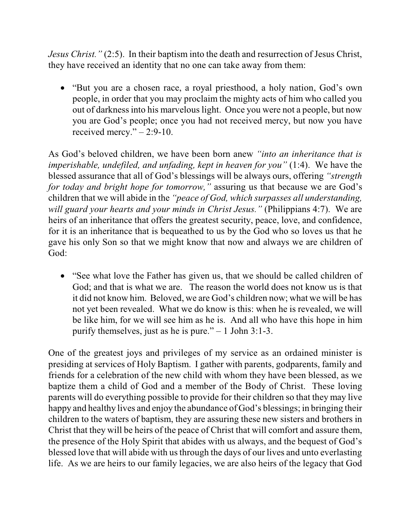*Jesus Christ."* (2:5). In their baptism into the death and resurrection of Jesus Christ, they have received an identity that no one can take away from them:

• "But you are a chosen race, a royal priesthood, a holy nation, God's own people, in order that you may proclaim the mighty acts of him who called you out of darkness into his marvelous light. Once you were not a people, but now you are God's people; once you had not received mercy, but now you have received mercy." $-2:9-10$ .

As God's beloved children, we have been born anew *"into an inheritance that is imperishable, undefiled, and unfading, kept in heaven for you*" (1:4). We have the blessed assurance that all of God's blessings will be always ours, offering *"strength for today and bright hope for tomorrow,"* assuring us that because we are God's children that we will abide in the *"peace of God, which surpasses all understanding, will guard your hearts and your minds in Christ Jesus."* (Philippians 4:7). We are heirs of an inheritance that offers the greatest security, peace, love, and confidence, for it is an inheritance that is bequeathed to us by the God who so loves us that he gave his only Son so that we might know that now and always we are children of God:

• "See what love the Father has given us, that we should be called children of God; and that is what we are. The reason the world does not know us is that it did not know him. Beloved, we are God's children now; what we will be has not yet been revealed. What we do know is this: when he is revealed, we will be like him, for we will see him as he is. And all who have this hope in him purify themselves, just as he is pure." $-1$  John 3:1-3.

One of the greatest joys and privileges of my service as an ordained minister is presiding at services of Holy Baptism. I gather with parents, godparents, family and friends for a celebration of the new child with whom they have been blessed, as we baptize them a child of God and a member of the Body of Christ. These loving parents will do everything possible to provide for their children so that they may live happy and healthy lives and enjoy the abundance of God's blessings; in bringing their children to the waters of baptism, they are assuring these new sisters and brothers in Christ that they will be heirs of the peace of Christ that will comfort and assure them, the presence of the Holy Spirit that abides with us always, and the bequest of God's blessed love that will abide with us through the days of our lives and unto everlasting life. As we are heirs to our family legacies, we are also heirs of the legacy that God